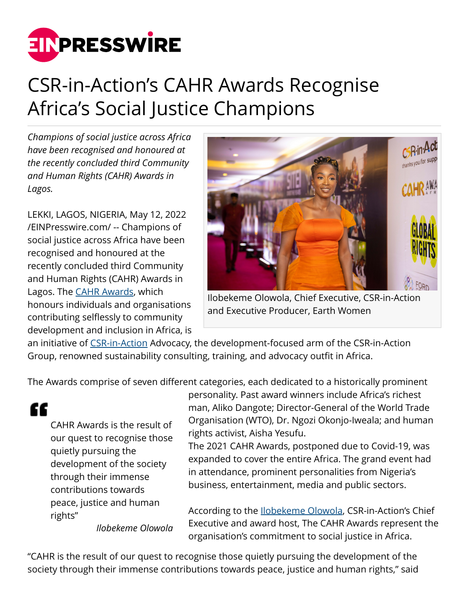

## CSR-in-Action's CAHR Awards Recognise Africa's Social Justice Champions

*Champions of social justice across Africa have been recognised and honoured at the recently concluded third Community and Human Rights (CAHR) Awards in Lagos.*

LEKKI, LAGOS, NIGERIA, May 12, 2022 [/EINPresswire.com/](http://www.einpresswire.com) -- Champions of social justice across Africa have been recognised and honoured at the recently concluded third Community and Human Rights (CAHR) Awards in Lagos. The [CAHR Awards](http://www.sitei.org/cahrawards/), which honours individuals and organisations contributing selflessly to community development and inclusion in Africa, is



Ilobekeme Olowola, Chief Executive, CSR-in-Action and Executive Producer, Earth Women

an initiative of [CSR-in-Action](http://www.csr-in-action.com/) Advocacy, the development-focused arm of the CSR-in-Action Group, renowned sustainability consulting, training, and advocacy outfit in Africa.

The Awards comprise of seven different categories, each dedicated to a historically prominent

CAHR Awards is the result of our quest to recognise those quietly pursuing the development of the society through their immense contributions towards peace, justice and human rights"

"

personality. Past award winners include Africa's richest man, Aliko Dangote; Director-General of the World Trade Organisation (WTO), Dr. Ngozi Okonjo-Iweala; and human rights activist, Aisha Yesufu.

The 2021 CAHR Awards, postponed due to Covid-19, was expanded to cover the entire Africa. The grand event had in attendance, prominent personalities from Nigeria's business, entertainment, media and public sectors.

According to the [Ilobekeme Olowola](http://www.csr-in-action.com/), CSR-in-Action's Chief Executive and award host, The CAHR Awards represent the organisation's commitment to social justice in Africa.

*Ilobekeme Olowola*

"CAHR is the result of our quest to recognise those quietly pursuing the development of the society through their immense contributions towards peace, justice and human rights," said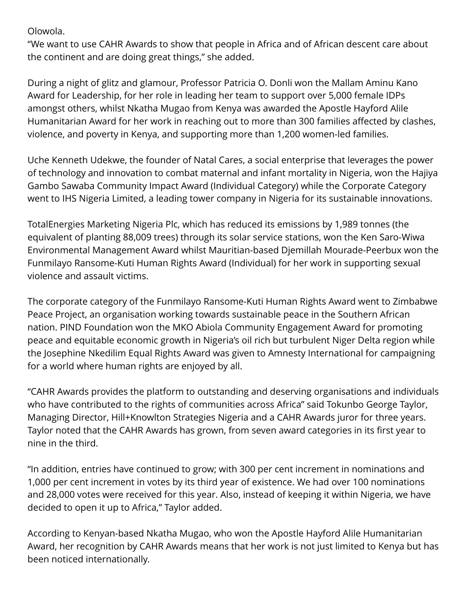Olowola.

"We want to use CAHR Awards to show that people in Africa and of African descent care about the continent and are doing great things," she added.

During a night of glitz and glamour, Professor Patricia O. Donli won the Mallam Aminu Kano Award for Leadership, for her role in leading her team to support over 5,000 female IDPs amongst others, whilst Nkatha Mugao from Kenya was awarded the Apostle Hayford Alile Humanitarian Award for her work in reaching out to more than 300 families affected by clashes, violence, and poverty in Kenya, and supporting more than 1,200 women-led families.

Uche Kenneth Udekwe, the founder of Natal Cares, a social enterprise that leverages the power of technology and innovation to combat maternal and infant mortality in Nigeria, won the Hajiya Gambo Sawaba Community Impact Award (Individual Category) while the Corporate Category went to IHS Nigeria Limited, a leading tower company in Nigeria for its sustainable innovations.

TotalEnergies Marketing Nigeria Plc, which has reduced its emissions by 1,989 tonnes (the equivalent of planting 88,009 trees) through its solar service stations, won the Ken Saro-Wiwa Environmental Management Award whilst Mauritian-based Djemillah Mourade-Peerbux won the Funmilayo Ransome-Kuti Human Rights Award (Individual) for her work in supporting sexual violence and assault victims.

The corporate category of the Funmilayo Ransome-Kuti Human Rights Award went to Zimbabwe Peace Project, an organisation working towards sustainable peace in the Southern African nation. PIND Foundation won the MKO Abiola Community Engagement Award for promoting peace and equitable economic growth in Nigeria's oil rich but turbulent Niger Delta region while the Josephine Nkedilim Equal Rights Award was given to Amnesty International for campaigning for a world where human rights are enjoyed by all.

"CAHR Awards provides the platform to outstanding and deserving organisations and individuals who have contributed to the rights of communities across Africa" said Tokunbo George Taylor, Managing Director, Hill+Knowlton Strategies Nigeria and a CAHR Awards juror for three years. Taylor noted that the CAHR Awards has grown, from seven award categories in its first year to nine in the third.

"In addition, entries have continued to grow; with 300 per cent increment in nominations and 1,000 per cent increment in votes by its third year of existence. We had over 100 nominations and 28,000 votes were received for this year. Also, instead of keeping it within Nigeria, we have decided to open it up to Africa," Taylor added.

According to Kenyan-based Nkatha Mugao, who won the Apostle Hayford Alile Humanitarian Award, her recognition by CAHR Awards means that her work is not just limited to Kenya but has been noticed internationally.